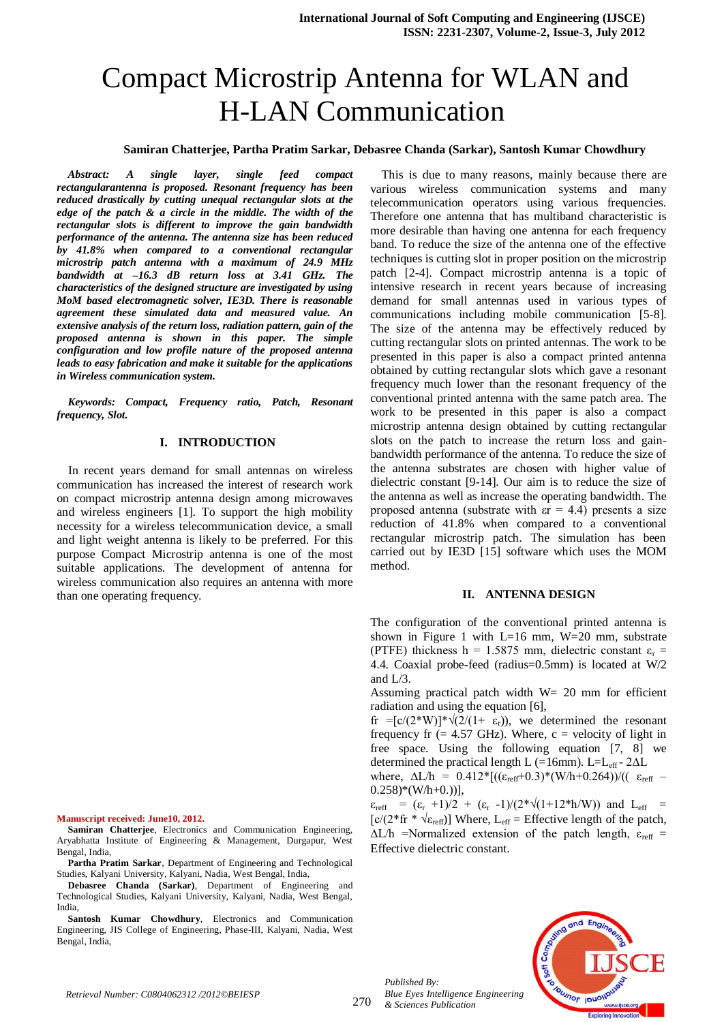# Compact Microstrip Antenna for WLAN and H-LAN Communication

## **Samiran Chatterjee, Partha Pratim Sarkar, Debasree Chanda (Sarkar), Santosh Kumar Chowdhury**

*Abstract: A single layer, single feed compact rectangularantenna is proposed. Resonant frequency has been reduced drastically by cutting unequal rectangular slots at the edge of the patch & a circle in the middle. The width of the rectangular slots is different to improve the gain bandwidth performance of the antenna. The antenna size has been reduced by 41.8% when compared to a conventional rectangular microstrip patch antenna with a maximum of 24.9 MHz bandwidth at –16.3 dB return loss at 3.41 GHz. The characteristics of the designed structure are investigated by using MoM based electromagnetic solver, IE3D. There is reasonable agreement these simulated data and measured value. An extensive analysis of the return loss, radiation pattern, gain of the proposed antenna is shown in this paper. The simple configuration and low profile nature of the proposed antenna leads to easy fabrication and make it suitable for the applications in Wireless communication system.*

*Keywords: Compact, Frequency ratio, Patch, Resonant frequency, Slot.*

#### **I. INTRODUCTION**

In recent years demand for small antennas on wireless communication has increased the interest of research work on compact microstrip antenna design among microwaves and wireless engineers [1]. To support the high mobility necessity for a wireless telecommunication device, a small and light weight antenna is likely to be preferred. For this purpose Compact Microstrip antenna is one of the most suitable applications. The development of antenna for wireless communication also requires an antenna with more than one operating frequency.

**Manuscript received: June10, 2012.**

**Samiran Chatterjee**, Electronics and Communication Engineering, Aryabhatta Institute of Engineering & Management, Durgapur, West Bengal, India,

**Partha Pratim Sarkar**, Department of Engineering and Technological Studies, Kalyani University, Kalyani, Nadia, West Bengal, India,

**Debasree Chanda (Sarkar)**, Department of Engineering and Technological Studies, Kalyani University, Kalyani, Nadia, West Bengal, India,

**Santosh Kumar Chowdhury**, Electronics and Communication Engineering, JIS College of Engineering, Phase-III, Kalyani, Nadia, West Bengal, India,

This is due to many reasons, mainly because there are various wireless communication systems and many telecommunication operators using various frequencies. Therefore one antenna that has multiband characteristic is more desirable than having one antenna for each frequency band. To reduce the size of the antenna one of the effective techniques is cutting slot in proper position on the microstrip patch [2-4]. Compact microstrip antenna is a topic of intensive research in recent years because of increasing demand for small antennas used in various types of communications including mobile communication [5-8]. The size of the antenna may be effectively reduced by cutting rectangular slots on printed antennas. The work to be presented in this paper is also a compact printed antenna obtained by cutting rectangular slots which gave a resonant frequency much lower than the resonant frequency of the conventional printed antenna with the same patch area. The work to be presented in this paper is also a compact microstrip antenna design obtained by cutting rectangular slots on the patch to increase the return loss and gainbandwidth performance of the antenna. To reduce the size of the antenna substrates are chosen with higher value of dielectric constant [9-14]. Our aim is to reduce the size of the antenna as well as increase the operating bandwidth. The proposed antenna (substrate with  $\epsilon r = 4.4$ ) presents a size reduction of 41.8% when compared to a conventional rectangular microstrip patch. The simulation has been carried out by IE3D [15] software which uses the MOM method.

## **II. ANTENNA DESIGN**

The configuration of the conventional printed antenna is shown in Figure 1 with  $L=16$  mm,  $W=20$  mm, substrate (PTFE) thickness h = 1.5875 mm, dielectric constant  $\varepsilon_r$  = 4.4. Coaxial probe-feed (radius=0.5mm) is located at W/2 and  $L/3$ .

Assuming practical patch width  $W = 20$  mm for efficient radiation and using the equation [6],

fr =[c/(2\*W)]\* $\sqrt{2/(1+\epsilon_r)}$ , we determined the resonant frequency fr  $(= 4.57 \text{ GHz})$ . Where,  $c =$  velocity of light in free space. Using the following equation [7, 8] we determined the practical length L (=16mm). L=L<sub>eff</sub> - 2 $\Delta L$ 

where,  $\Delta L/h = 0.412 * [((\varepsilon_{reff}+0.3)*(W/h+0.264))/((\varepsilon_{reff}-0.412))$  $0.258$ <sup>\*</sup>(W/h+0.))],

 $\varepsilon_{\text{reff}} = (\varepsilon_{\text{r}} + 1)/2 + (\varepsilon_{\text{r}} - 1)/(2 \sqrt[*]{(1+12 \sqrt[*]{\varepsilon_{\text{th}}})}$  and  $L_{\text{eff}} =$  $[c/(2*fr * \sqrt{\epsilon_{\text{reff}}})]$  Where,  $L_{\text{eff}}$  = Effective length of the patch,  $\Delta L/h$  =Normalized extension of the patch length,  $\varepsilon_{reff}$  = Effective dielectric constant.



*Published By:*

*& Sciences Publication*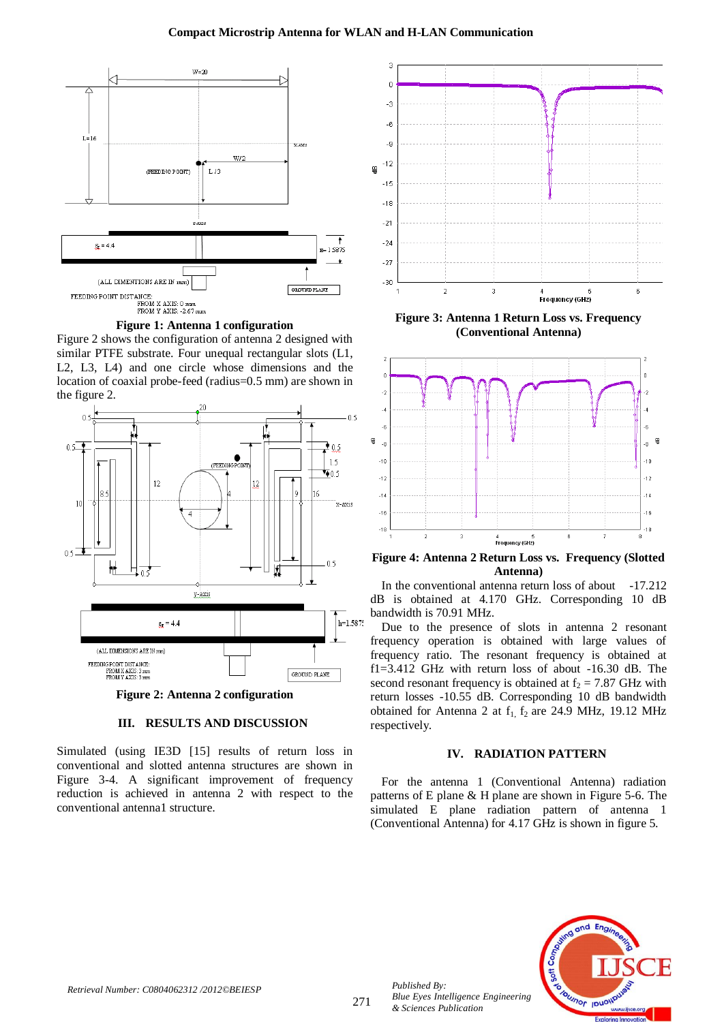

**Figure 1: Antenna 1 configuration**

Figure 2 shows the configuration of antenna 2 designed with similar PTFE substrate. Four unequal rectangular slots (L1, L2, L3, L4) and one circle whose dimensions and the location of coaxial probe-feed (radius=0.5 mm) are shown in the figure 2.



**Figure 2: Antenna 2 configuration**

# **III. RESULTS AND DISCUSSION**

Simulated (using IE3D [15] results of return loss in conventional and slotted antenna structures are shown in Figure 3-4. A significant improvement of frequency reduction is achieved in antenna 2 with respect to the conventional antenna1 structure.



**Figure 3: Antenna 1 Return Loss vs. Frequency (Conventional Antenna)**



**Figure 4: Antenna 2 Return Loss vs. Frequency (Slotted Antenna)**

In the conventional antenna return loss of about -17.212 dB is obtained at 4.170 GHz. Corresponding 10 dB bandwidth is 70.91 MHz.

Due to the presence of slots in antenna 2 resonant frequency operation is obtained with large values of frequency ratio. The resonant frequency is obtained at f1=3.412 GHz with return loss of about -16.30 dB. The second resonant frequency is obtained at  $f_2 = 7.87$  GHz with return losses -10.55 dB. Corresponding 10 dB bandwidth obtained for Antenna 2 at  $f_1$ ,  $f_2$  are 24.9 MHz, 19.12 MHz respectively.

# **IV. RADIATION PATTERN**

For the antenna 1 (Conventional Antenna) radiation patterns of E plane & H plane are shown in Figure 5-6. The simulated E plane radiation pattern of antenna 1 (Conventional Antenna) for 4.17 GHz is shown in figure 5.



*Published By:*

*& Sciences Publication*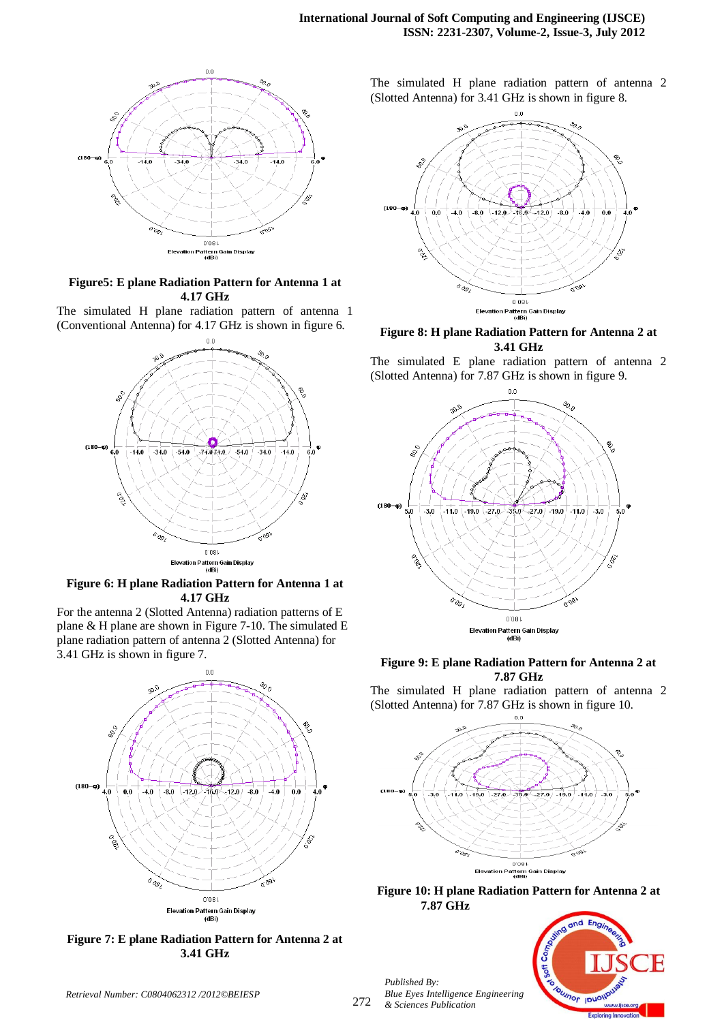

# **Figure5: E plane Radiation Pattern for Antenna 1 at 4.17 GHz**

The simulated H plane radiation pattern of antenna 1 (Conventional Antenna) for 4.17 GHz is shown in figure 6.



# **Figure 6: H plane Radiation Pattern for Antenna 1 at 4.17 GHz**

For the antenna 2 (Slotted Antenna) radiation patterns of E plane & H plane are shown in Figure 7-10. The simulated E plane radiation pattern of antenna 2 (Slotted Antenna) for 3.41 GHz is shown in figure 7.



**Figure 7: E plane Radiation Pattern for Antenna 2 at 3.41 GHz**

The simulated H plane radiation pattern of antenna 2 (Slotted Antenna) for 3.41 GHz is shown in figure 8.



**Figure 8: H plane Radiation Pattern for Antenna 2 at 3.41 GHz**

The simulated E plane radiation pattern of antenna 2 (Slotted Antenna) for 7.87 GHz is shown in figure 9.



# **Figure 9: E plane Radiation Pattern for Antenna 2 at 7.87 GHz**

The simulated H plane radiation pattern of antenna 2 (Slotted Antenna) for 7.87 GHz is shown in figure 10.



**Figure 10: H plane Radiation Pattern for Antenna 2 at 7.87 GHz**

*Published By: Blue Eyes Intelligence Engineering & Sciences Publication* 



*Retrieval Number: C0804062312 /2012©BEIESP*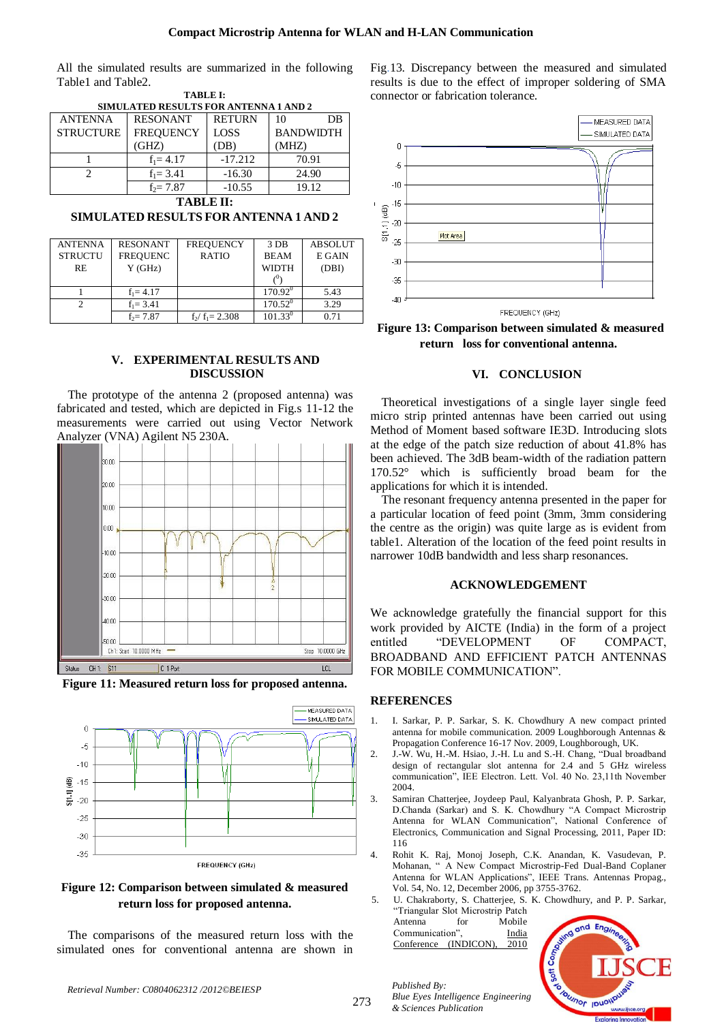All the simulated results are summarized in the following Table1 and Table2. **TABLE I:**

| <b>SIMULATED RESULTS FOR ANTENNA 1 AND 2</b> |                  |               |                  |  |  |  |
|----------------------------------------------|------------------|---------------|------------------|--|--|--|
| <b>ANTENNA</b>                               | <b>RESONANT</b>  | <b>RETURN</b> | DB<br>10         |  |  |  |
| <b>STRUCTURE</b>                             | <b>FREQUENCY</b> | <b>LOSS</b>   | <b>BANDWIDTH</b> |  |  |  |
|                                              | (GHZ)            | (DB)          | (MHZ)            |  |  |  |
|                                              | $f_1 = 4.17$     | $-17.212$     | 70.91            |  |  |  |
|                                              | $f_1 = 3.41$     | $-16.30$      | 24.90            |  |  |  |
|                                              | $f_2 = 7.87$     | $-10.55$      | 19.12            |  |  |  |

**TABLE II:**

**SIMULATED RESULTS FOR ANTENNA 1 AND 2**

| <b>ANTENNA</b> | <b>RESONANT</b> | <b>FREQUENCY</b>  | 3 DB             | <b>ABSOLUT</b> |
|----------------|-----------------|-------------------|------------------|----------------|
| <b>STRUCTU</b> | <b>FREQUENC</b> | <b>RATIO</b>      | <b>BEAM</b>      | E GAIN         |
| RE.            | Y(GHz)          |                   | <b>WIDTH</b>     | (DBI)          |
|                |                 |                   |                  |                |
|                | $f_1 = 4.17$    |                   | $170.92^{\circ}$ | 5.43           |
|                | $f_1 = 3.41$    |                   | $170.52^0$       | 3.29           |
|                | $f_2 = 7.87$    | $f_2/f_1 = 2.308$ | $101.33^{0}$     | 0.71           |

# **V. EXPERIMENTAL RESULTS AND DISCUSSION**

The prototype of the antenna 2 (proposed antenna) was fabricated and tested, which are depicted in Fig.s 11-12 the measurements were carried out using Vector Network Analyzer (VNA) Agilent N5 230A.



**Figure 11: Measured return loss for proposed antenna.**



**Figure 12: Comparison between simulated & measured return loss for proposed antenna.**

The comparisons of the measured return loss with the simulated ones for conventional antenna are shown in Fig.13. Discrepancy between the measured and simulated results is due to the effect of improper soldering of SMA connector or fabrication tolerance.



**Figure 13: Comparison between simulated & measured return loss for conventional antenna.**

## **VI. CONCLUSION**

Theoretical investigations of a single layer single feed micro strip printed antennas have been carried out using Method of Moment based software IE3D. Introducing slots at the edge of the patch size reduction of about 41.8% has been achieved. The 3dB beam-width of the radiation pattern 170.52° which is sufficiently broad beam for the applications for which it is intended.

The resonant frequency antenna presented in the paper for a particular location of feed point (3mm, 3mm considering the centre as the origin) was quite large as is evident from table1. Alteration of the location of the feed point results in narrower 10dB bandwidth and less sharp resonances.

## **ACKNOWLEDGEMENT**

We acknowledge gratefully the financial support for this work provided by AICTE (India) in the form of a project entitled "DEVELOPMENT OF COMPACT, BROADBAND AND EFFICIENT PATCH ANTENNAS FOR MOBILE COMMUNICATION".

## **REFERENCES**

 $\mathbf{I}$ 

- 1. I. Sarkar, P. P. Sarkar, S. K. Chowdhury A new compact printed antenna for mobile communication. 2009 Loughborough Antennas & Propagation Conference 16-17 Nov. 2009, Loughborough, UK.
- 2. J.-W. Wu, H.-M. Hsiao, J.-H. Lu and S.-H. Chang, "Dual broadband design of rectangular slot antenna for 2.4 and 5 GHz wireless communication", IEE Electron. Lett. Vol. 40 No. 23,11th November 2004.
- 3. Samiran Chatterjee, Joydeep Paul, Kalyanbrata Ghosh, P. P. Sarkar, D.Chanda (Sarkar) and S. K. Chowdhury "A Compact Microstrip Antenna for WLAN Communication", National Conference of Electronics, Communication and Signal Processing, 2011, Paper ID: 116
- 4. Rohit K. Raj, Monoj Joseph, C.K. Anandan, K. Vasudevan, P. Mohanan, " A New Compact Microstrip-Fed Dual-Band Coplaner Antenna for WLAN Applications", IEEE Trans. Antennas Propag., Vol. 54, No. 12, December 2006, pp 3755-3762.

5. U. Chakraborty, S. Chatterjee, S. K. Chowdhury, and P. P. Sarkar, "Triangular Slot Microstrip Patch Antenna for Mobile Communication", [India](file://xpl/mostRecentIssue.jsp)  Conference (INDICON), 2010



*Retrieval Number: C0804062312 /2012©BEIESP*

*Published By:*

*& Sciences Publication*